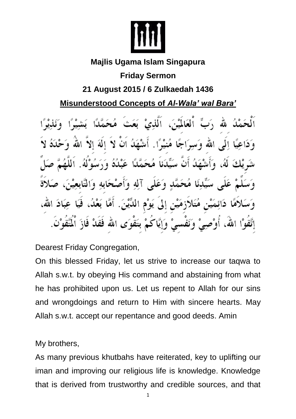

### **Majlis Ugama Islam Singapura**

# **Friday Sermon**

# **21 August 2015 / 6 Zulkaedah 1436**

### **Misunderstood Concepts of** *Al-Wala' wal Bara'*

ِ رَبِّ اْلْعَالَمْيْنَ، اَلَّذِيْ بَعَث<sup>َ</sup> مُحَمَّدًا بَشِيْرًا لُتُ اللهُ وَدَاعِيًا إِلَى الله وَسِوَاجًا مُنيْوًا. أَشْهَلُ أَنْ لاَ إِلَهَ إِلاَّ اللهَ وَحْلَدُهُ لاَ شَرِيْكَ لَهُ، وَأَشْهَدُ أَنَّ سَيِّدَناَ مُحَمَّدًا عَبْدُهُ وَرَسُوْلُهُ. عَلَى سَيِّدِنَا مُحَمَّدٍ وَعَلَى آلِهِ وَأَصْحَابِهِ وَالتَّابِعِيْنَ دَائِمَيْنِ مُتَلاَزِمَيْنِ إِلَى يَوْمِ اللَّيْنَ. أَمَّا بَعْدُ، فَيَا عِبَادَ الله، إتَّقُوْا اللهَ، أُوْصِيْ وَنَفْسيْ وَإِيَّاكُمْ بتَقْوَى الله فَقَدْ فَازَ ٱلْتَّقُوْنَ.

Dearest Friday Congregation,

On this blessed Friday, let us strive to increase our taqwa to Allah s.w.t. by obeying His command and abstaining from what he has prohibited upon us. Let us repent to Allah for our sins and wrongdoings and return to Him with sincere hearts. May Allah s.w.t. accept our repentance and good deeds. Amin

My brothers,

As many previous khutbahs have reiterated, key to uplifting our iman and improving our religious life is knowledge. Knowledge that is derived from trustworthy and credible sources, and that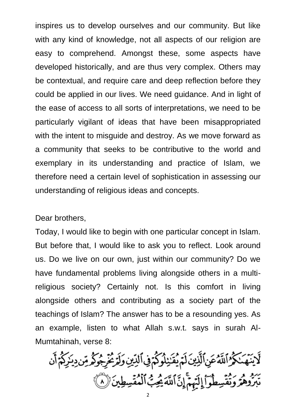inspires us to develop ourselves and our community. But like with any kind of knowledge, not all aspects of our religion are easy to comprehend. Amongst these, some aspects have developed historically, and are thus very complex. Others may be contextual, and require care and deep reflection before they could be applied in our lives. We need guidance. And in light of the ease of access to all sorts of interpretations, we need to be particularly vigilant of ideas that have been misappropriated with the intent to misquide and destroy. As we move forward as a community that seeks to be contributive to the world and exemplary in its understanding and practice of Islam, we therefore need a certain level of sophistication in assessing our understanding of religious ideas and concepts.

#### Dear brothers,

Today, I would like to begin with one particular concept in Islam. But before that, I would like to ask you to reflect. Look around us. Do we live on our own, just within our community? Do we have fundamental problems living alongside others in a multireligious society? Certainly not. Is this comfort in living alongside others and contributing as a society part of the teachings of Islam? The answer has to be a resounding yes. As an example, listen to what Allah s.w.t. says in surah Al-Mumtahinah, verse 8:

ڵۘٳؾؘۿؘٮٚڮٛۯٱڷڷٙۮ۠ڠڹۣٱڷۜڹۣؾؘڶؘمٙؽؙڦؘڹؚڹڷۅڮٛۨڋڣۣٱڶڐؚؾۣ*ۏ*ڶڗٙڲؙڔۣٙڿۘۅڮٛۄۺٙڔؽڒؚڮٛؗٛ؞ۧٲؘڹ يَرْدِ وَرَمْقُسِطُوٓاْ إِلَيْهِمْۚ إِنَّ ٱللَّهَ يُجِبُّ ٱلْمُقْسِطِينَ (٨)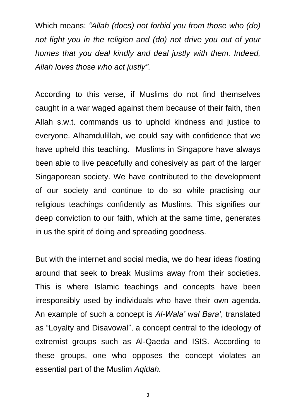Which means: *"Allah (does) not forbid you from those who (do) not fight you in the religion and (do) not drive you out of your homes that you deal kindly and deal justly with them. Indeed, Allah loves those who act justly"*.

According to this verse, if Muslims do not find themselves caught in a war waged against them because of their faith, then Allah s.w.t. commands us to uphold kindness and justice to everyone. Alhamdulillah, we could say with confidence that we have upheld this teaching. Muslims in Singapore have always been able to live peacefully and cohesively as part of the larger Singaporean society. We have contributed to the development of our society and continue to do so while practising our religious teachings confidently as Muslims. This signifies our deep conviction to our faith, which at the same time, generates in us the spirit of doing and spreading goodness.

But with the internet and social media, we do hear ideas floating around that seek to break Muslims away from their societies. This is where Islamic teachings and concepts have been irresponsibly used by individuals who have their own agenda. An example of such a concept is *Al-Wala' wal Bara'*, translated as "Loyalty and Disavowal", a concept central to the ideology of extremist groups such as Al-Qaeda and ISIS. According to these groups, one who opposes the concept violates an essential part of the Muslim *Aqidah.*

3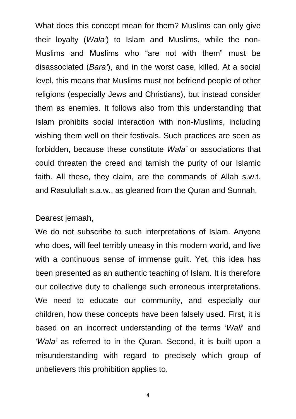What does this concept mean for them? Muslims can only give their loyalty (*Wala'*) to Islam and Muslims, while the non-Muslims and Muslims who "are not with them" must be disassociated (*Bara'*), and in the worst case, killed. At a social level, this means that Muslims must not befriend people of other religions (especially Jews and Christians), but instead consider them as enemies. It follows also from this understanding that Islam prohibits social interaction with non-Muslims, including wishing them well on their festivals. Such practices are seen as forbidden, because these constitute *Wala'* or associations that could threaten the creed and tarnish the purity of our Islamic faith. All these, they claim, are the commands of Allah s.w.t. and Rasulullah s.a.w., as gleaned from the Quran and Sunnah.

#### Dearest jemaah,

We do not subscribe to such interpretations of Islam. Anyone who does, will feel terribly uneasy in this modern world, and live with a continuous sense of immense guilt. Yet, this idea has been presented as an authentic teaching of Islam. It is therefore our collective duty to challenge such erroneous interpretations. We need to educate our community, and especially our children, how these concepts have been falsely used. First, it is based on an incorrect understanding of the terms '*Wali*' and *'Wala'* as referred to in the Quran. Second, it is built upon a misunderstanding with regard to precisely which group of unbelievers this prohibition applies to.

4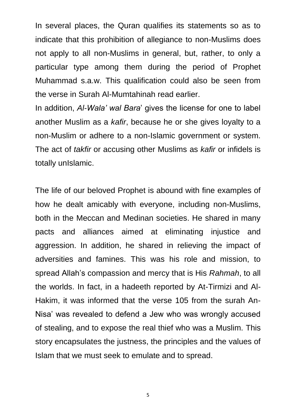In several places, the Quran qualifies its statements so as to indicate that this prohibition of allegiance to non-Muslims does not apply to all non-Muslims in general, but, rather, to only a particular type among them during the period of Prophet Muhammad s.a.w. This qualification could also be seen from the verse in Surah Al-Mumtahinah read earlier.

In addition, *Al-Wala' wal Bara*' gives the license for one to label another Muslim as a *kafir*, because he or she gives loyalty to a non-Muslim or adhere to a non-Islamic government or system. The act of *takfir* or accusing other Muslims as *kafir* or infidels is totally unIslamic.

The life of our beloved Prophet is abound with fine examples of how he dealt amicably with everyone, including non-Muslims, both in the Meccan and Medinan societies. He shared in many pacts and alliances aimed at eliminating injustice and aggression. In addition, he shared in relieving the impact of adversities and famines. This was his role and mission, to spread Allah's compassion and mercy that is His *Rahmah*, to all the worlds. In fact, in a hadeeth reported by At-Tirmizi and Al-Hakim, it was informed that the verse 105 from the surah An-Nisa' was revealed to defend a Jew who was wrongly accused of stealing, and to expose the real thief who was a Muslim. This story encapsulates the justness, the principles and the values of Islam that we must seek to emulate and to spread.

5